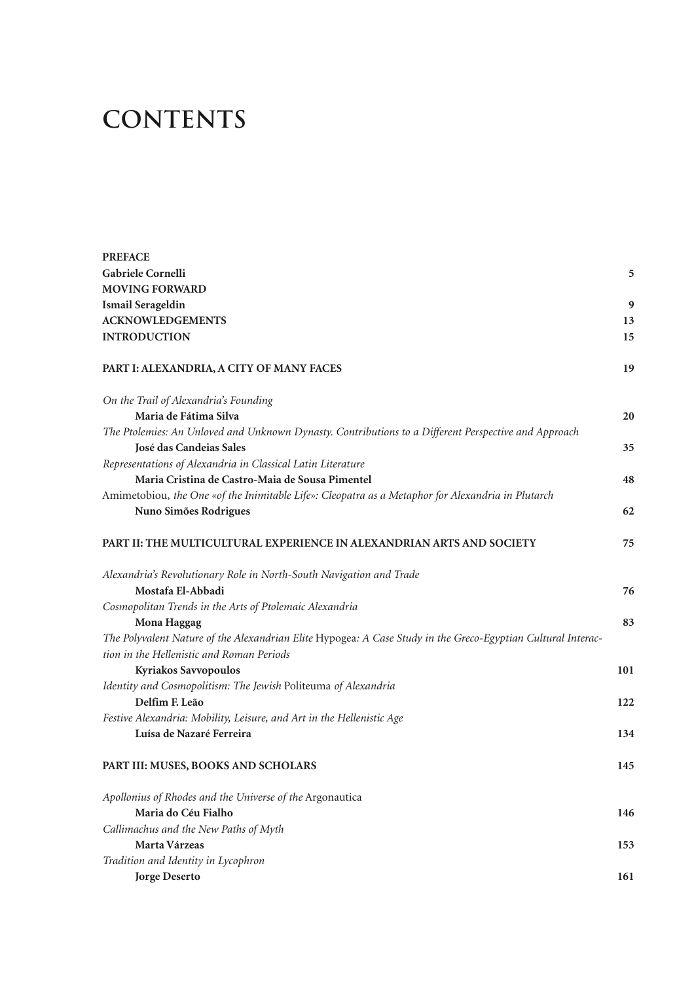## **contents**

| <b>PREFACE</b>                                                                                                                                            |     |
|-----------------------------------------------------------------------------------------------------------------------------------------------------------|-----|
| Gabriele Cornelli                                                                                                                                         | 5   |
| <b>MOVING FORWARD</b>                                                                                                                                     |     |
| <b>Ismail Serageldin</b>                                                                                                                                  | 9   |
| <b>ACKNOWLEDGEMENTS</b>                                                                                                                                   | 13  |
| <b>INTRODUCTION</b>                                                                                                                                       | 15  |
| PART I: ALEXANDRIA, A CITY OF MANY FACES                                                                                                                  | 19  |
| On the Trail of Alexandria's Founding                                                                                                                     |     |
| Maria de Fátima Silva                                                                                                                                     | 20  |
| The Ptolemies: An Unloved and Unknown Dynasty. Contributions to a Different Perspective and Approach                                                      |     |
| José das Candeias Sales                                                                                                                                   | 35  |
| Representations of Alexandria in Classical Latin Literature                                                                                               |     |
| Maria Cristina de Castro-Maia de Sousa Pimentel                                                                                                           | 48  |
| Amimetobiou, the One «of the Inimitable Life»: Cleopatra as a Metaphor for Alexandria in Plutarch                                                         |     |
| Nuno Simões Rodrigues                                                                                                                                     | 62  |
| PART II: THE MULTICULTURAL EXPERIENCE IN ALEXANDRIAN ARTS AND SOCIETY                                                                                     | 75  |
| Alexandria's Revolutionary Role in North-South Navigation and Trade                                                                                       |     |
| Mostafa El-Abbadi                                                                                                                                         | 76  |
| Cosmopolitan Trends in the Arts of Ptolemaic Alexandria                                                                                                   |     |
| Mona Haggag                                                                                                                                               | 83  |
| The Polyvalent Nature of the Alexandrian Elite Hypogea: A Case Study in the Greco-Egyptian Cultural Interac-<br>tion in the Hellenistic and Roman Periods |     |
| Kyriakos Savvopoulos                                                                                                                                      | 101 |
| Identity and Cosmopolitism: The Jewish Politeuma of Alexandria                                                                                            |     |
| Delfim F. Leão                                                                                                                                            | 122 |
| Festive Alexandria: Mobility, Leisure, and Art in the Hellenistic Age                                                                                     |     |
| Luísa de Nazaré Ferreira                                                                                                                                  | 134 |
| PART III: MUSES, BOOKS AND SCHOLARS                                                                                                                       | 145 |
| Apollonius of Rhodes and the Universe of the Argonautica                                                                                                  |     |
| Maria do Céu Fialho                                                                                                                                       | 146 |
| Callimachus and the New Paths of Myth                                                                                                                     |     |
| Marta Várzeas                                                                                                                                             | 153 |
| Tradition and Identity in Lycophron                                                                                                                       |     |
| Jorge Deserto                                                                                                                                             | 161 |